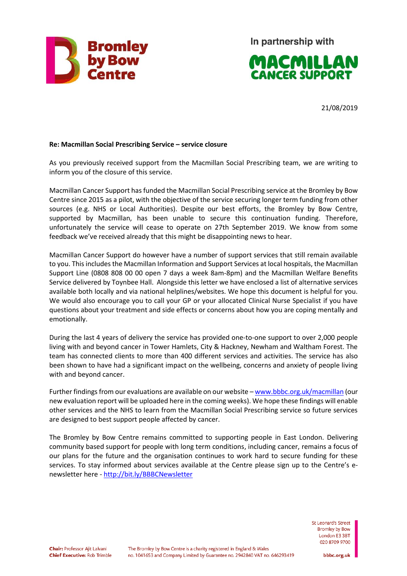

In partnership with



21/08/2019

## **Re: Macmillan Social Prescribing Service – service closure**

As you previously received support from the Macmillan Social Prescribing team, we are writing to inform you of the closure of this service.

Macmillan Cancer Support has funded the Macmillan Social Prescribing service at the Bromley by Bow Centre since 2015 as a pilot, with the objective of the service securing longer term funding from other sources (e.g. NHS or Local Authorities). Despite our best efforts, the Bromley by Bow Centre, supported by Macmillan, has been unable to secure this continuation funding. Therefore, unfortunately the service will cease to operate on 27th September 2019. We know from some feedback we've received already that this might be disappointing news to hear.

Macmillan Cancer Support do however have a number of support services that still remain available to you. This includes the Macmillan Information and Support Services at local hospitals, the Macmillan Support Line (0808 808 00 00 open 7 days a week 8am-8pm) and the Macmillan Welfare Benefits Service delivered by Toynbee Hall. Alongside this letter we have enclosed a list of alternative services available both locally and via national helplines/websites. We hope this document is helpful for you. We would also encourage you to call your GP or your allocated Clinical Nurse Specialist if you have questions about your treatment and side effects or concerns about how you are coping mentally and emotionally.

During the last 4 years of delivery the service has provided one-to-one support to over 2,000 people living with and beyond cancer in Tower Hamlets, City & Hackney, Newham and Waltham Forest. The team has connected clients to more than 400 different services and activities. The service has also been shown to have had a significant impact on the wellbeing, concerns and anxiety of people living with and beyond cancer.

Further findings from our evaluations are available on our website – [www.bbbc.org.uk/macmillan](http://www.bbbc.org.uk/macmillan) (our new evaluation report will be uploaded here in the coming weeks). We hope these findings will enable other services and the NHS to learn from the Macmillan Social Prescribing service so future services are designed to best support people affected by cancer.

The Bromley by Bow Centre remains committed to supporting people in East London. Delivering community based support for people with long term conditions, including cancer, remains a focus of our plans for the future and the organisation continues to work hard to secure funding for these services. To stay informed about services available at the Centre please sign up to the Centre's enewsletter here - <http://bit.ly/BBBCNewsletter>

> St Leonard's Street Bromley by Bow London E3 3BT 020 8709 9700